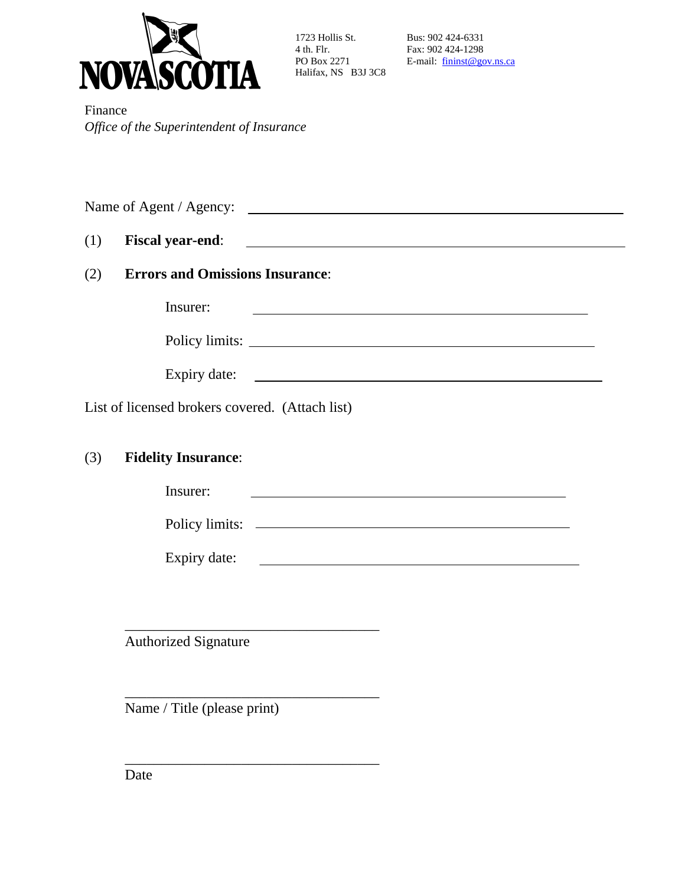

1723 Hollis St. Bus: 902 424-6331<br>4 th. Flr. Fax: 902 424-1298

4 th. Flr. Fax: 902 424-1298<br>PO Box 2271 E-mail:  $\frac{\text{fininst@gov.ns.ca}}{\text{E-mail: }}$ 

Finance *Office of the Superintendent of Insurance*

| (1) | <b>Fiscal year-end:</b>                                                                                                                                                                                                              |  |
|-----|--------------------------------------------------------------------------------------------------------------------------------------------------------------------------------------------------------------------------------------|--|
| (2) | <b>Errors and Omissions Insurance:</b>                                                                                                                                                                                               |  |
|     | Insurer:                                                                                                                                                                                                                             |  |
|     |                                                                                                                                                                                                                                      |  |
|     | Expiry date: <u>contract and the set of the set of the set of the set of the set of the set of the set of the set of the set of the set of the set of the set of the set of the set of the set of the set of the set of the set </u> |  |
|     | List of licensed brokers covered. (Attach list)                                                                                                                                                                                      |  |
| (3) | <b>Fidelity Insurance:</b>                                                                                                                                                                                                           |  |
|     | Insurer:<br><u> 1989 - Andrea Stadt Britain, amerikansk politiker (</u>                                                                                                                                                              |  |
|     | Policy limits:                                                                                                                                                                                                                       |  |
|     | Expiry date:                                                                                                                                                                                                                         |  |
|     |                                                                                                                                                                                                                                      |  |
|     | <b>Authorized Signature</b>                                                                                                                                                                                                          |  |
|     | Name / Title (please print)                                                                                                                                                                                                          |  |

Date

 $\frac{1}{\sqrt{2}}$  ,  $\frac{1}{\sqrt{2}}$  ,  $\frac{1}{\sqrt{2}}$  ,  $\frac{1}{\sqrt{2}}$  ,  $\frac{1}{\sqrt{2}}$  ,  $\frac{1}{\sqrt{2}}$  ,  $\frac{1}{\sqrt{2}}$  ,  $\frac{1}{\sqrt{2}}$  ,  $\frac{1}{\sqrt{2}}$  ,  $\frac{1}{\sqrt{2}}$  ,  $\frac{1}{\sqrt{2}}$  ,  $\frac{1}{\sqrt{2}}$  ,  $\frac{1}{\sqrt{2}}$  ,  $\frac{1}{\sqrt{2}}$  ,  $\frac{1}{\sqrt{2}}$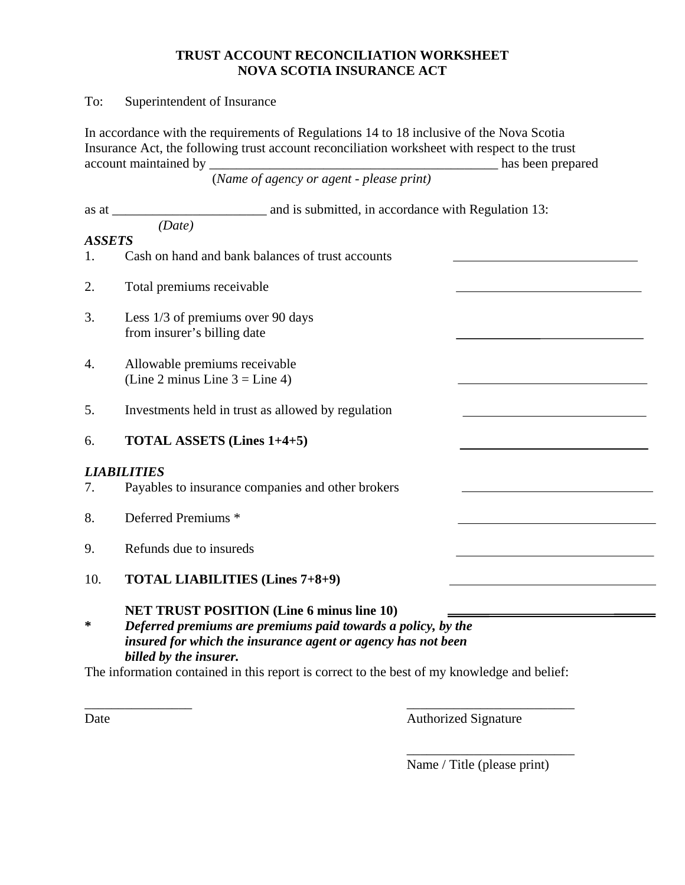## **TRUST ACCOUNT RECONCILIATION WORKSHEET NOVA SCOTIA INSURANCE ACT**

To: Superintendent of Insurance

In accordance with the requirements of Regulations 14 to 18 inclusive of the Nova Scotia Insurance Act, the following trust account reconciliation worksheet with respect to the trust account maintained by \_\_\_\_\_\_\_\_\_\_\_\_\_\_\_\_\_\_\_\_\_\_\_\_\_\_\_\_\_\_\_\_\_\_\_\_\_\_\_\_\_\_\_ has been prepared

(*Name of agency or agent - please print)* 

| as at                           | and is submitted, in accordance with Regulation 13:                                                                                                                                                        |  |
|---------------------------------|------------------------------------------------------------------------------------------------------------------------------------------------------------------------------------------------------------|--|
|                                 | (Date)                                                                                                                                                                                                     |  |
| <b>ASSETS</b><br>$\mathbf{1}$ . | Cash on hand and bank balances of trust accounts                                                                                                                                                           |  |
| 2.                              | Total premiums receivable                                                                                                                                                                                  |  |
| 3.                              | Less 1/3 of premiums over 90 days<br>from insurer's billing date                                                                                                                                           |  |
| 4.                              | Allowable premiums receivable<br>(Line 2 minus Line $3 =$ Line 4)                                                                                                                                          |  |
| 5.                              | Investments held in trust as allowed by regulation                                                                                                                                                         |  |
| 6.                              | <b>TOTAL ASSETS (Lines 1+4+5)</b>                                                                                                                                                                          |  |
| 7.                              | <b>LIABILITIES</b><br>Payables to insurance companies and other brokers                                                                                                                                    |  |
| 8.                              | Deferred Premiums <sup>*</sup>                                                                                                                                                                             |  |
| 9.                              | Refunds due to insureds                                                                                                                                                                                    |  |
| 10.                             | <b>TOTAL LIABILITIES (Lines 7+8+9)</b>                                                                                                                                                                     |  |
| ∗                               | <b>NET TRUST POSITION (Line 6 minus line 10)</b><br>Deferred premiums are premiums paid towards a policy, by the<br>insured for which the insurance agent or agency has not been<br>billed by the insurer. |  |
|                                 | The information contained in this report is correct to the best of my knowledge and belief:                                                                                                                |  |

 $\frac{1}{2}$  , the contract of the contract of the contract of the contract of the contract of the contract of the contract of the contract of the contract of the contract of the contract of the contract of the contract of t

Date **Authorized Signature** 

 $\overline{\phantom{a}}$  , which is a set of the contract of the contract of the contract of the contract of the contract of the contract of the contract of the contract of the contract of the contract of the contract of the contract Name / Title (please print)